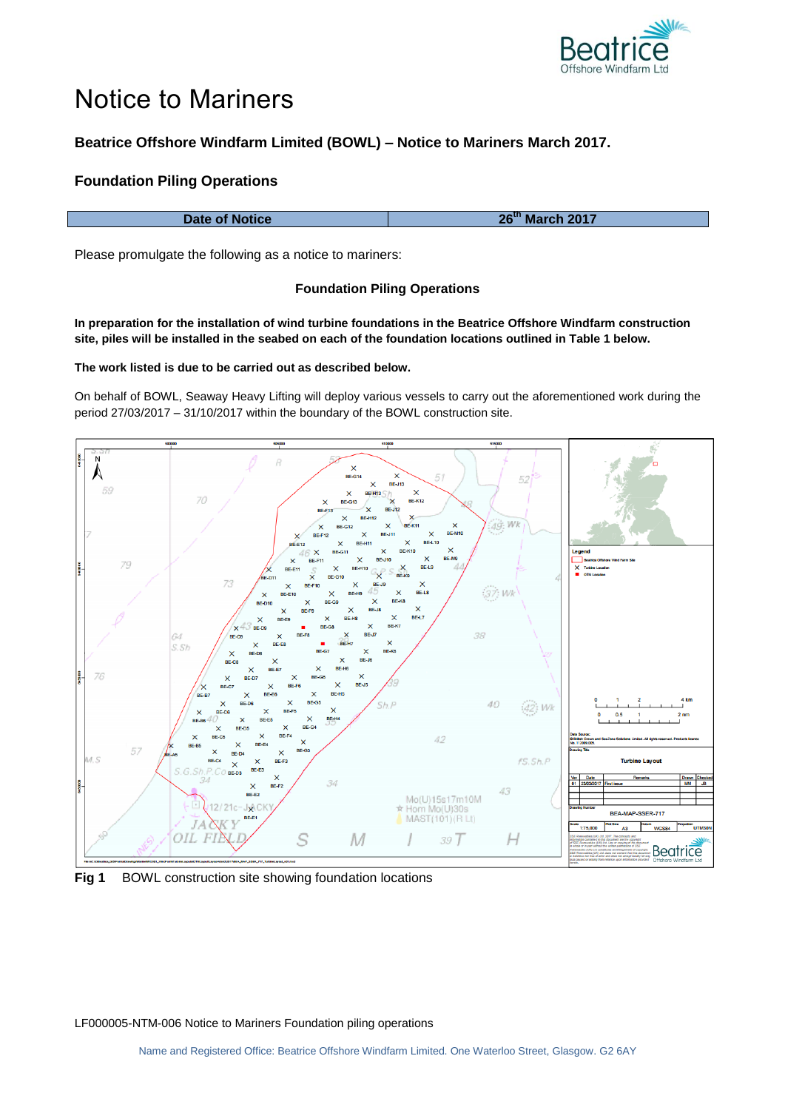

# Notice to Mariners

# **Beatrice Offshore Windfarm Limited (BOWL) – Notice to Mariners March 2017.**

# **Foundation Piling Operations**

| 26 <sup>th</sup> March 2017 | Date of Notice |
|-----------------------------|----------------|
|-----------------------------|----------------|

Please promulgate the following as a notice to mariners:

### **Foundation Piling Operations**

**In preparation for the installation of wind turbine foundations in the Beatrice Offshore Windfarm construction site, piles will be installed in the seabed on each of the foundation locations outlined in Table 1 below.**

**The work listed is due to be carried out as described below.**

On behalf of BOWL, Seaway Heavy Lifting will deploy various vessels to carry out the aforementioned work during the period 27/03/2017 – 31/10/2017 within the boundary of the BOWL construction site.



**Fig 1** BOWL construction site showing foundation locations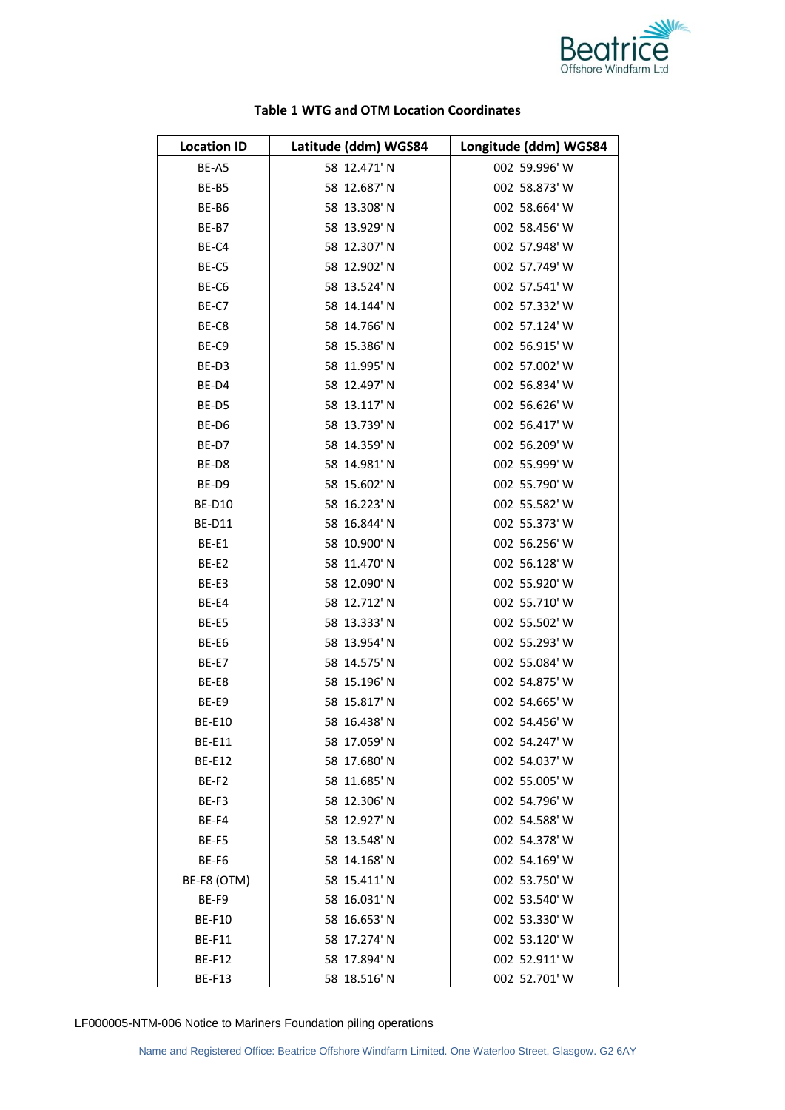

| <b>Location ID</b> | Latitude (ddm) WGS84 | Longitude (ddm) WGS84 |
|--------------------|----------------------|-----------------------|
| BE-A5              | 58 12.471' N         | 002 59.996' W         |
| BE-B5              | 58 12.687' N         | 002 58.873' W         |
| BE-B6              | 58 13.308' N         | 002 58.664' W         |
| BE-B7              | 58 13.929' N         | 002 58.456' W         |
| BE-C4              | 58 12.307' N         | 002 57.948' W         |
| BE-C5              | 58 12.902' N         | 002 57.749' W         |
| BE-C6              | 58 13.524' N         | 002 57.541' W         |
| BE-C7              | 58 14.144' N         | 002 57.332' W         |
| BE-C8              | 58 14.766' N         | 002 57.124' W         |
| BE-C9              | 58 15.386' N         | 002 56.915' W         |
| BE-D3              | 58 11.995' N         | 002 57.002' W         |
| BE-D4              | 58 12.497' N         | 002 56.834' W         |
| BE-D5              | 58 13.117' N         | 002 56.626' W         |
| BE-D6              | 58 13.739' N         | 002 56.417' W         |
| BE-D7              | 58 14.359' N         | 002 56.209' W         |
| BE-D8              | 58 14.981' N         | 002 55.999' W         |
| BE-D9              | 58 15.602' N         | 002 55.790' W         |
| <b>BE-D10</b>      | 58 16.223' N         | 002 55.582' W         |
| <b>BE-D11</b>      | 58 16.844' N         | 002 55.373' W         |
| BE-E1              | 58 10.900' N         | 002 56.256' W         |
| BE-E2              | 58 11.470' N         | 002 56.128' W         |
| BE-E3              | 58 12.090' N         | 002 55.920' W         |
| BE-E4              | 58 12.712' N         | 002 55.710' W         |
| BE-E5              | 58 13.333' N         | 002 55.502' W         |
| BE-E6              | 58 13.954' N         | 002 55.293' W         |
| BE-E7              | 58 14.575' N         | 002 55.084' W         |
| BE-E8              | 58 15.196' N         | 002 54.875' W         |
| BE-E9              | 58 15.817' N         | 002 54.665' W         |
| BE-E10             | 58 16.438'N          | 002 54.456' W         |
| <b>BE-E11</b>      | 58 17.059' N         | 002 54.247' W         |
| <b>BE-E12</b>      | 58 17.680' N         | 002 54.037' W         |
| BE-F2              | 58 11.685' N         | 002 55.005' W         |
| BE-F3              | 58 12.306' N         | 002 54.796' W         |
| BE-F4              | 58 12.927' N         | 002 54.588' W         |
| BE-F5              | 58 13.548' N         | 002 54.378' W         |
| BE-F6              | 58 14.168' N         | 002 54.169' W         |
| BE-F8 (OTM)        | 58 15.411' N         | 002 53.750' W         |
| BE-F9              | 58 16.031' N         | 002 53.540' W         |
| <b>BE-F10</b>      | 58 16.653' N         | 002 53.330' W         |
| <b>BE-F11</b>      | 58 17.274' N         | 002 53.120' W         |
| <b>BE-F12</b>      | 58 17.894' N         | 002 52.911' W         |
| <b>BE-F13</b>      | 58 18.516' N         | 002 52.701' W         |

# **Table 1 WTG and OTM Location Coordinates**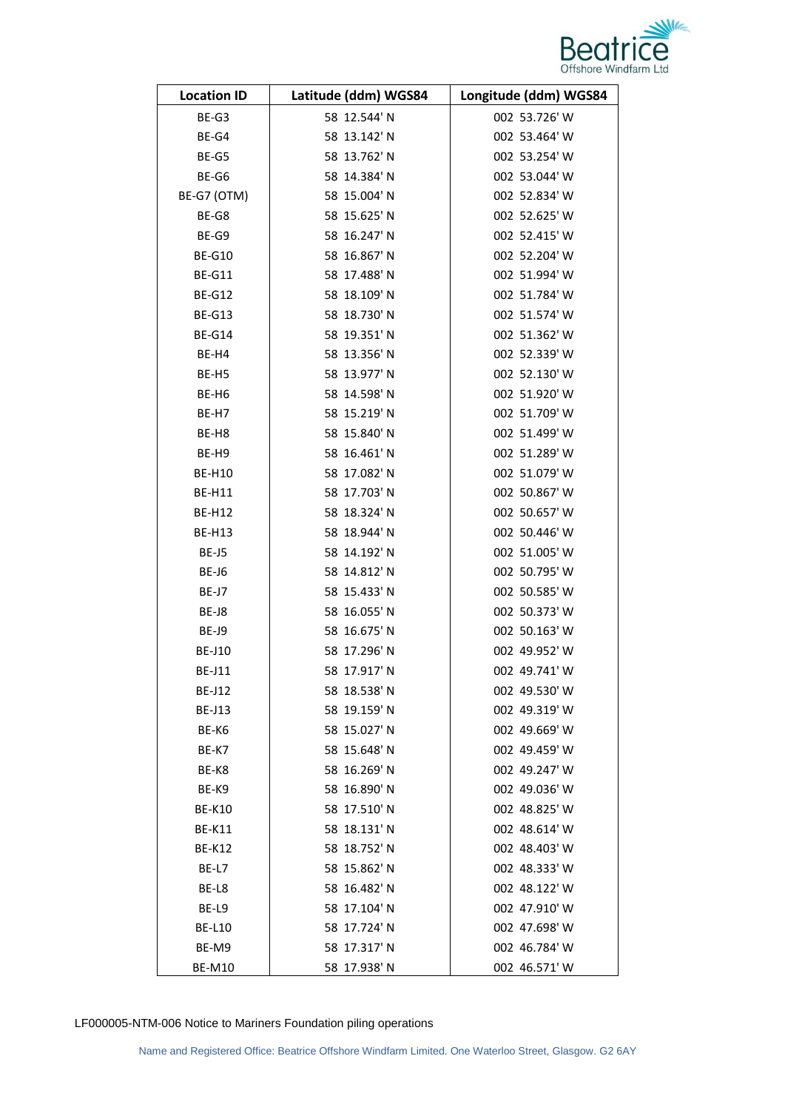

| <b>Location ID</b> | Latitude (ddm) WGS84 | Longitude (ddm) WGS84 |
|--------------------|----------------------|-----------------------|
| BE-G3              | 58 12.544' N         | 002 53.726' W         |
| BE-G4              | 58 13.142' N         | 002 53.464' W         |
| BE-G5              | 58 13.762' N         | 002 53.254' W         |
| BE-G6              | 58 14.384' N         | 002 53.044' W         |
| BE-G7 (OTM)        | 58 15.004' N         | 002 52.834' W         |
| BE-G8              | 58 15.625' N         | 002 52.625' W         |
| BE-G9              | 58 16.247' N         | 002 52.415' W         |
| <b>BE-G10</b>      | 58 16.867' N         | 002 52.204' W         |
| <b>BE-G11</b>      | 58 17.488' N         | 002 51.994' W         |
| <b>BE-G12</b>      | 58 18.109' N         | 002 51.784' W         |
| <b>BE-G13</b>      | 58 18.730' N         | 002 51.574' W         |
| <b>BE-G14</b>      | 58 19.351' N         | 002 51.362' W         |
| BE-H4              | 58 13.356' N         | 002 52.339' W         |
| BE-H5              | 58 13.977' N         | 002 52.130' W         |
| BE-H6              | 58 14.598' N         | 002 51.920' W         |
| BE-H7              | 58 15.219' N         | 002 51.709' W         |
| BE-H8              | 58 15.840' N         | 002 51.499' W         |
| BE-H9              | 58 16.461' N         | 002 51.289' W         |
| <b>BE-H10</b>      | 58 17.082' N         | 002 51.079' W         |
| <b>BE-H11</b>      | 58 17.703' N         | 002 50.867' W         |
| <b>BE-H12</b>      | 58 18.324' N         | 002 50.657' W         |
| <b>BE-H13</b>      | 58 18.944' N         | 002 50.446' W         |
| BE-J5              | 58 14.192' N         | 002 51.005' W         |
| BE-J6              | 58 14.812' N         | 002 50.795' W         |
| BE-J7              | 58 15.433' N         | 002 50.585' W         |
| BE-J8              | 58 16.055' N         | 002 50.373' W         |
| BE-J9              | 58 16.675' N         | 002 50.163' W         |
| <b>BE-J10</b>      | 58 17.296' N         | 002 49.952' W         |
| <b>BE-J11</b>      | 58 17.917' N         | 002 49.741' W         |
| BE-J12             | 58 18.538' N         | 002 49.530' W         |
| <b>BE-J13</b>      | 58 19.159' N         | 002 49.319' W         |
| BE-K6              | 58 15.027' N         | 002 49.669' W         |
| BE-K7              | 58 15.648' N         | 002 49.459' W         |
| BE-K8              | 58 16.269' N         | 002 49.247' W         |
| BE-K9              | 58 16.890' N         | 002 49.036' W         |
| <b>BE-K10</b>      | 58 17.510' N         | 002 48.825' W         |
| <b>BE-K11</b>      | 58 18.131' N         | 002 48.614' W         |
| <b>BE-K12</b>      | 58 18.752' N         | 002 48.403' W         |
| BE-L7              | 58 15.862' N         | 002 48.333' W         |
| BE-L8              | 58 16.482' N         | 002 48.122' W         |
| BE-L9              | 58 17.104' N         | 002 47.910' W         |
| <b>BE-L10</b>      | 58 17.724' N         | 002 47.698' W         |
| BE-M9              | 58 17.317' N         | 002 46.784' W         |
| <b>BE-M10</b>      | 58 17.938' N         | 002 46.571' W         |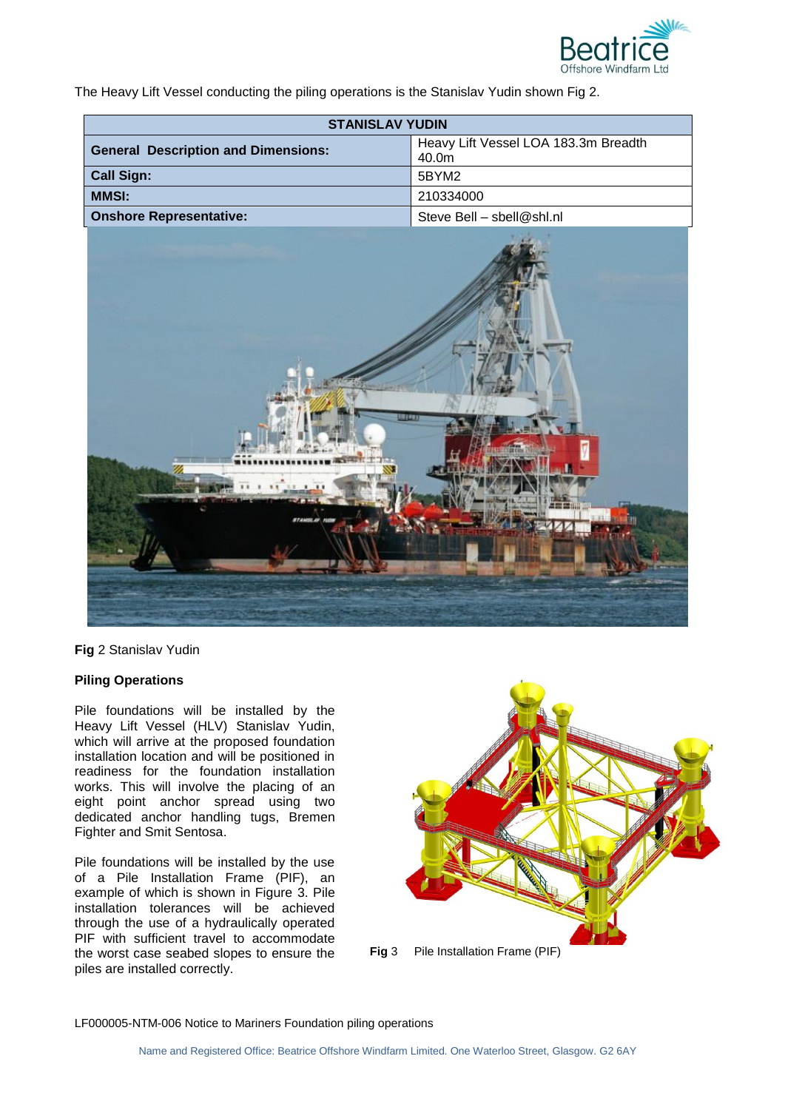

The Heavy Lift Vessel conducting the piling operations is the Stanislav Yudin shown Fig 2.

| <b>STANISLAV YUDIN</b>                     |                                               |  |
|--------------------------------------------|-----------------------------------------------|--|
| <b>General Description and Dimensions:</b> | Heavy Lift Vessel LOA 183.3m Breadth<br>40.0m |  |
| <b>Call Sign:</b>                          | 5BYM2                                         |  |
| <b>MMSI:</b>                               | 210334000                                     |  |
| <b>Onshore Representative:</b>             | Steve Bell - sbell@shl.nl                     |  |



**Fig** 2 Stanislav Yudin

# **Piling Operations**

Pile foundations will be installed by the Heavy Lift Vessel (HLV) Stanislav Yudin, which will arrive at the proposed foundation installation location and will be positioned in readiness for the foundation installation works. This will involve the placing of an eight point anchor spread using two dedicated anchor handling tugs, Bremen Fighter and Smit Sentosa.

Pile foundations will be installed by the use of a Pile Installation Frame (PIF), an example of which is shown in Figure 3. Pile installation tolerances will be achieved through the use of a hydraulically operated PIF with sufficient travel to accommodate the worst case seabed slopes to ensure the piles are installed correctly.

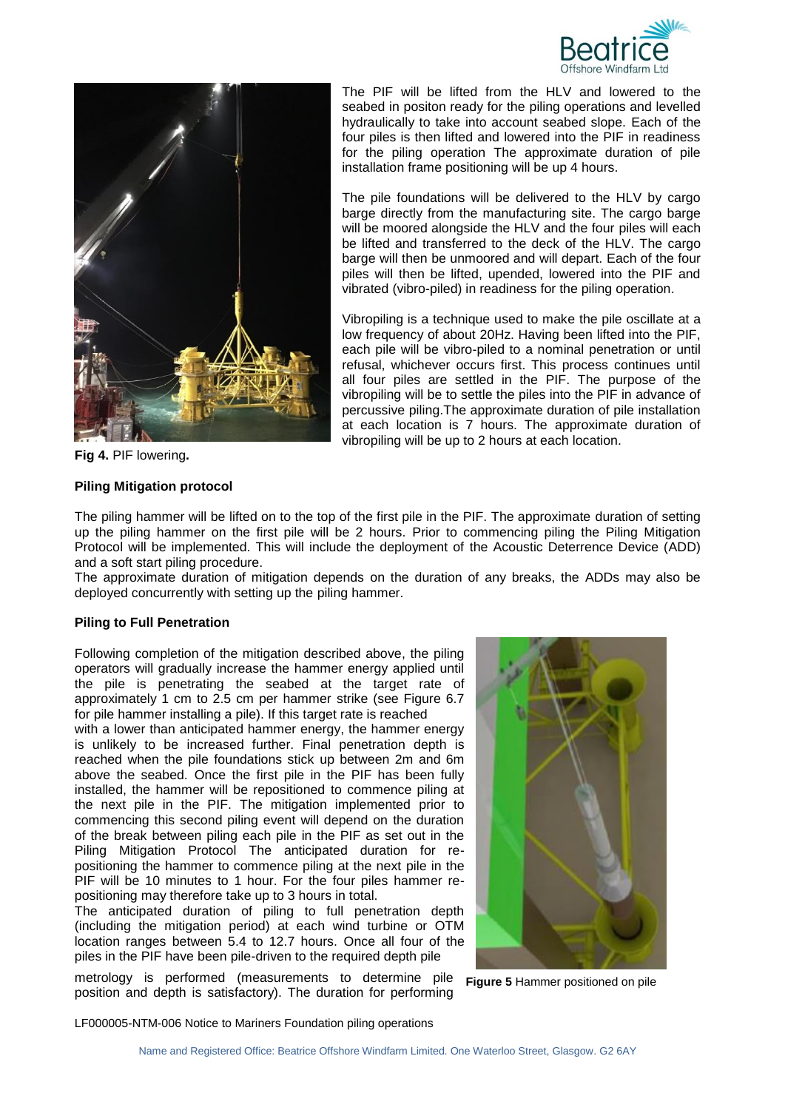



**Fig 4.** PIF lowering**.**

#### **Piling Mitigation protocol**

The PIF will be lifted from the HLV and lowered to the seabed in positon ready for the piling operations and levelled hydraulically to take into account seabed slope. Each of the four piles is then lifted and lowered into the PIF in readiness for the piling operation The approximate duration of pile installation frame positioning will be up 4 hours.

The pile foundations will be delivered to the HLV by cargo barge directly from the manufacturing site. The cargo barge will be moored alongside the HLV and the four piles will each be lifted and transferred to the deck of the HLV. The cargo barge will then be unmoored and will depart. Each of the four piles will then be lifted, upended, lowered into the PIF and vibrated (vibro-piled) in readiness for the piling operation.

Vibropiling is a technique used to make the pile oscillate at a low frequency of about 20Hz. Having been lifted into the PIF, each pile will be vibro-piled to a nominal penetration or until refusal, whichever occurs first. This process continues until all four piles are settled in the PIF. The purpose of the vibropiling will be to settle the piles into the PIF in advance of percussive piling.The approximate duration of pile installation at each location is 7 hours. The approximate duration of vibropiling will be up to 2 hours at each location.

The piling hammer will be lifted on to the top of the first pile in the PIF. The approximate duration of setting up the piling hammer on the first pile will be 2 hours. Prior to commencing piling the Piling Mitigation Protocol will be implemented. This will include the deployment of the Acoustic Deterrence Device (ADD) and a soft start piling procedure.

The approximate duration of mitigation depends on the duration of any breaks, the ADDs may also be deployed concurrently with setting up the piling hammer.

#### **Piling to Full Penetration**

Following completion of the mitigation described above, the piling operators will gradually increase the hammer energy applied until the pile is penetrating the seabed at the target rate of approximately 1 cm to 2.5 cm per hammer strike (see Figure 6.7 for pile hammer installing a pile). If this target rate is reached

with a lower than anticipated hammer energy, the hammer energy is unlikely to be increased further. Final penetration depth is reached when the pile foundations stick up between 2m and 6m above the seabed. Once the first pile in the PIF has been fully installed, the hammer will be repositioned to commence piling at the next pile in the PIF. The mitigation implemented prior to commencing this second piling event will depend on the duration of the break between piling each pile in the PIF as set out in the Piling Mitigation Protocol The anticipated duration for repositioning the hammer to commence piling at the next pile in the PIF will be 10 minutes to 1 hour. For the four piles hammer repositioning may therefore take up to 3 hours in total.

The anticipated duration of piling to full penetration depth (including the mitigation period) at each wind turbine or OTM location ranges between 5.4 to 12.7 hours. Once all four of the piles in the PIF have been pile-driven to the required depth pile

metrology is performed (measurements to determine pile position and depth is satisfactory). The duration for performing



**Figure 5** Hammer positioned on pile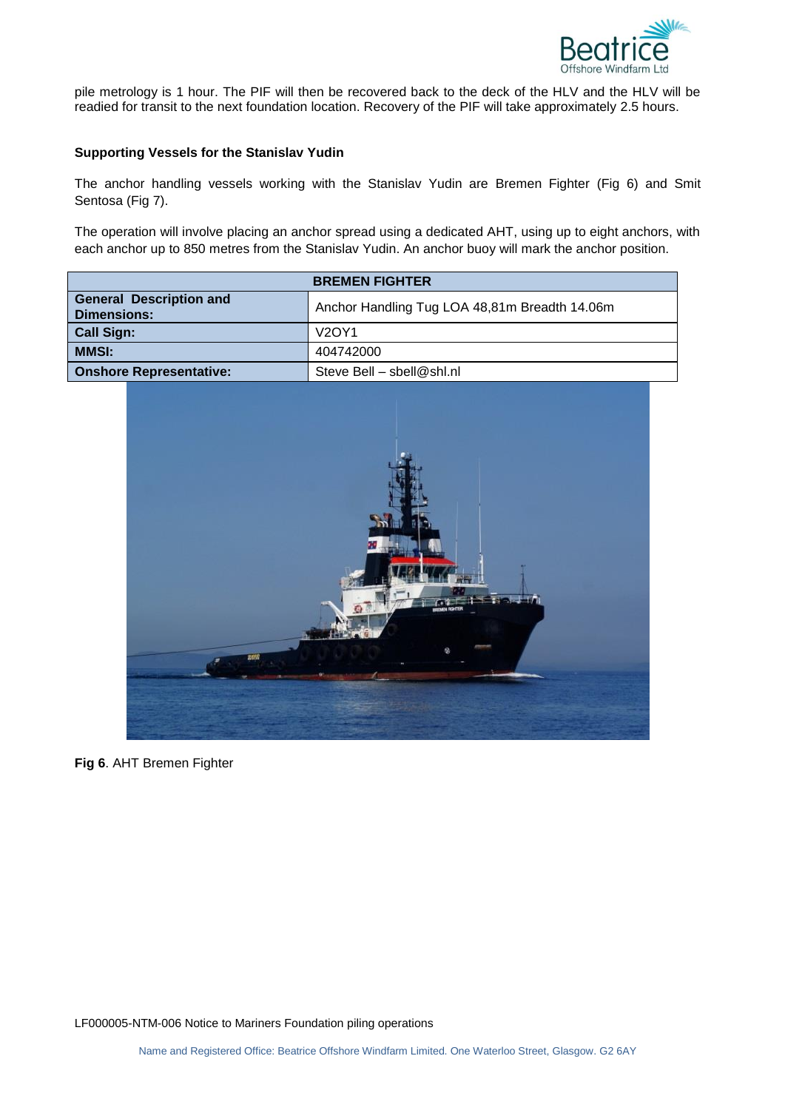

pile metrology is 1 hour. The PIF will then be recovered back to the deck of the HLV and the HLV will be readied for transit to the next foundation location. Recovery of the PIF will take approximately 2.5 hours.

## **Supporting Vessels for the Stanislav Yudin**

The anchor handling vessels working with the Stanislav Yudin are Bremen Fighter (Fig 6) and Smit Sentosa (Fig 7).

The operation will involve placing an anchor spread using a dedicated AHT, using up to eight anchors, with each anchor up to 850 metres from the Stanislav Yudin. An anchor buoy will mark the anchor position.

| <b>BREMEN FIGHTER</b>                                |                                               |  |
|------------------------------------------------------|-----------------------------------------------|--|
| <b>General Description and</b><br><b>Dimensions:</b> | Anchor Handling Tug LOA 48,81m Breadth 14.06m |  |
| <b>Call Sign:</b>                                    | V <sub>2</sub> OY <sub>1</sub>                |  |
| <b>MMSI:</b>                                         | 404742000                                     |  |
| <b>Onshore Representative:</b>                       | Steve Bell - sbell@shl.nl                     |  |



**Fig 6**. AHT Bremen Fighter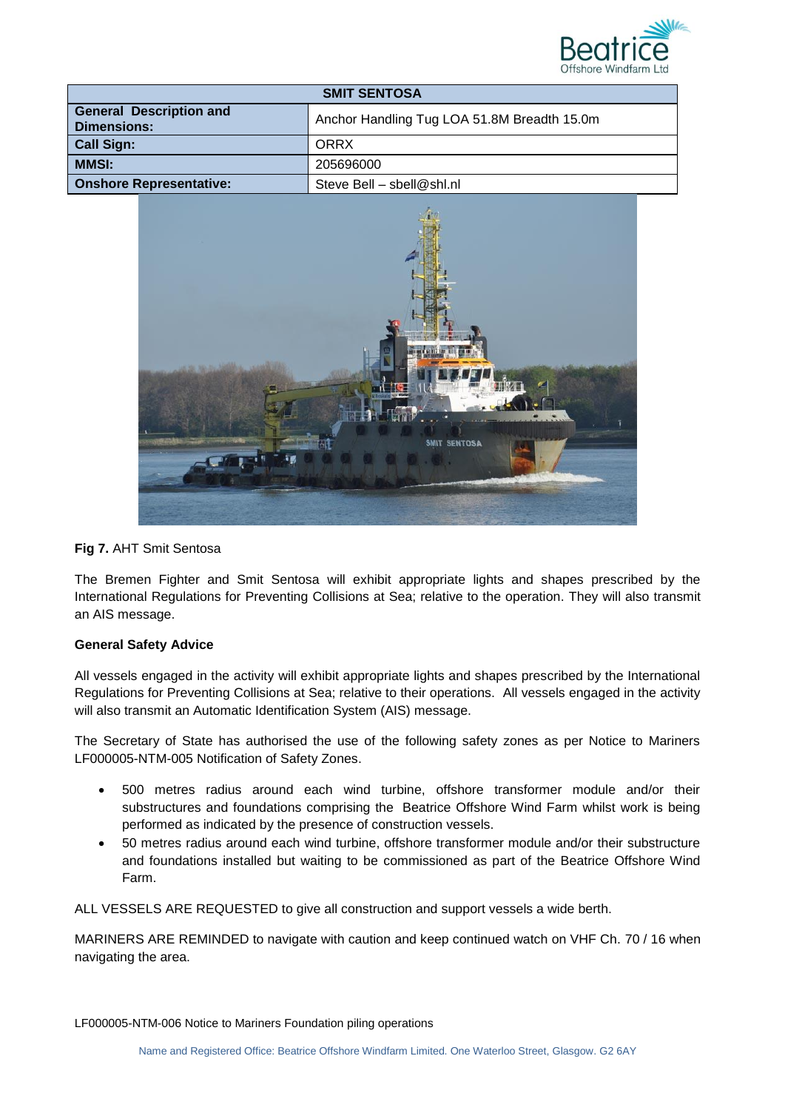

| <b>SMIT SENTOSA</b>                           |                                             |  |
|-----------------------------------------------|---------------------------------------------|--|
| <b>General Description and</b><br>Dimensions: | Anchor Handling Tug LOA 51.8M Breadth 15.0m |  |
| <b>Call Sign:</b>                             | ORRX                                        |  |
| <b>MMSI:</b>                                  | 205696000                                   |  |
| <b>Onshore Representative:</b>                | Steve Bell - sbell@shl.nl                   |  |



# **Fig 7.** AHT Smit Sentosa

The Bremen Fighter and Smit Sentosa will exhibit appropriate lights and shapes prescribed by the International Regulations for Preventing Collisions at Sea; relative to the operation. They will also transmit an AIS message.

# **General Safety Advice**

All vessels engaged in the activity will exhibit appropriate lights and shapes prescribed by the International Regulations for Preventing Collisions at Sea; relative to their operations. All vessels engaged in the activity will also transmit an Automatic Identification System (AIS) message.

The Secretary of State has authorised the use of the following safety zones as per Notice to Mariners LF000005-NTM-005 Notification of Safety Zones.

- 500 metres radius around each wind turbine, offshore transformer module and/or their substructures and foundations comprising the Beatrice Offshore Wind Farm whilst work is being performed as indicated by the presence of construction vessels.
- 50 metres radius around each wind turbine, offshore transformer module and/or their substructure and foundations installed but waiting to be commissioned as part of the Beatrice Offshore Wind Farm.

ALL VESSELS ARE REQUESTED to give all construction and support vessels a wide berth.

MARINERS ARE REMINDED to navigate with caution and keep continued watch on VHF Ch. 70 / 16 when navigating the area.